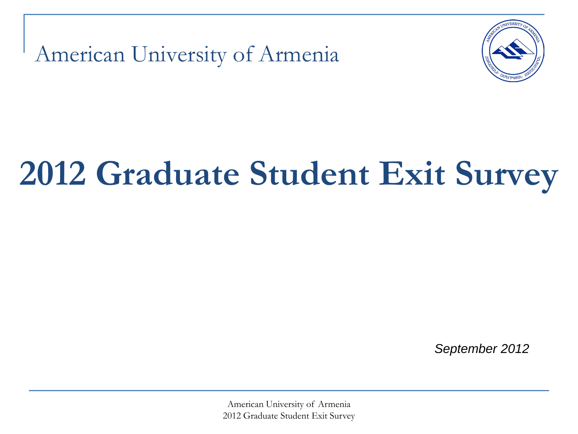American University of Armenia



# **2012 Graduate Student Exit Survey**

*September 2012*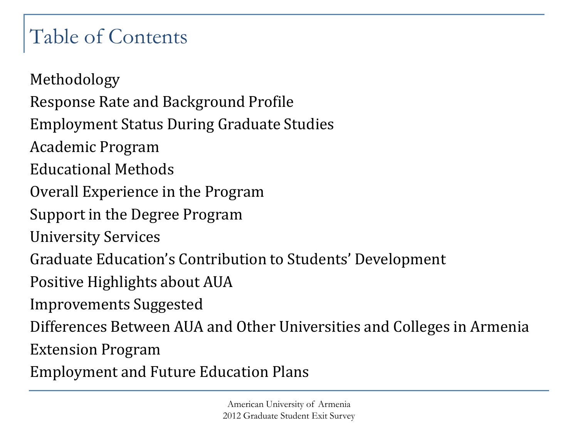# Table of Contents

Methodology Response Rate and Background Profile Employment Status During Graduate Studies Academic Program Educational Methods Overall Experience in the Program Support in the Degree Program University Services Graduate Education's Contribution to Students' Development Positive Highlights about AUA Improvements Suggested Differences Between AUA and Other Universities and Colleges in Armenia Extension Program

Employment and Future Education Plans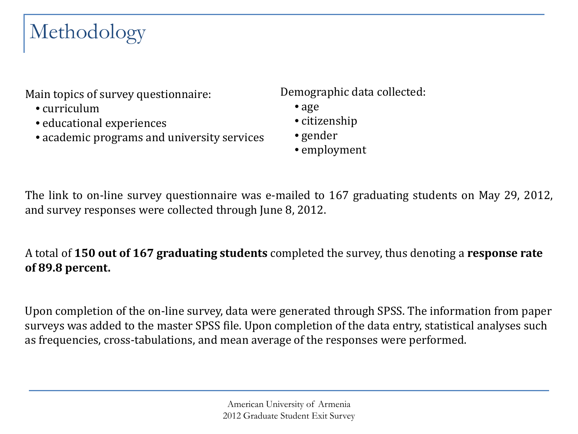# Methodology

Main topics of survey questionnaire:

- curriculum
- educational experiences
- academic programs and university services

Demographic data collected:

- age
- citizenship
- gender
- employment

The link to on-line survey questionnaire was e-mailed to 167 graduating students on May 29, 2012, and survey responses were collected through June 8, 2012.

#### A total of **150 out of 167 graduating students** completed the survey, thus denoting a **response rate of 89.8 percent.**

Upon completion of the on-line survey, data were generated through SPSS. The information from paper surveys was added to the master SPSS file. Upon completion of the data entry, statistical analyses such as frequencies, cross-tabulations, and mean average of the responses were performed.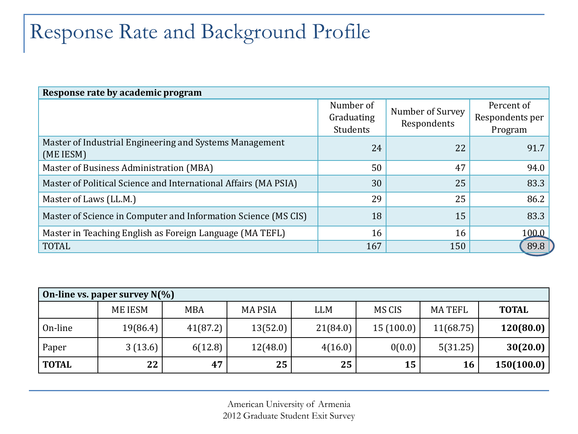# Response Rate and Background Profile

| Response rate by academic program                                    |                                     |                                 |                                          |
|----------------------------------------------------------------------|-------------------------------------|---------------------------------|------------------------------------------|
|                                                                      | Number of<br>Graduating<br>Students | Number of Survey<br>Respondents | Percent of<br>Respondents per<br>Program |
| Master of Industrial Engineering and Systems Management<br>(ME IESM) | 24                                  | 22                              | 91.7                                     |
| Master of Business Administration (MBA)                              | 50                                  | 47                              | 94.0                                     |
| Master of Political Science and International Affairs (MA PSIA)      | 30                                  | 25                              | 83.3                                     |
| Master of Laws (LL.M.)                                               | 29                                  | 25                              | 86.2                                     |
| Master of Science in Computer and Information Science (MS CIS)       | 18                                  | 15                              | 83.3                                     |
| Master in Teaching English as Foreign Language (MA TEFL)             | 16                                  | 16                              | 100.0                                    |
| <b>TOTAL</b>                                                         | 167                                 | 150                             | 89.8                                     |

| On-line vs. paper survey $N(\%)$ |                |            |               |          |           |               |              |  |  |
|----------------------------------|----------------|------------|---------------|----------|-----------|---------------|--------------|--|--|
|                                  | <b>ME IESM</b> | <b>MBA</b> | <b>MAPSIA</b> | LLM      | MS CIS    | <b>MATEFL</b> | <b>TOTAL</b> |  |  |
| On-line                          | 19(86.4)       | 41(87.2)   | 13(52.0)      | 21(84.0) | 15(100.0) | 11(68.75)     | 120(80.0)    |  |  |
| Paper                            | 3(13.6)        | 6(12.8)    | 12(48.0)      | 4(16.0)  | 0(0.0)    | 5(31.25)      | 30(20.0)     |  |  |
| <b>TOTAL</b>                     | 22             | 47         | 25            | 25       | 15        | 16            | 150(100.0)   |  |  |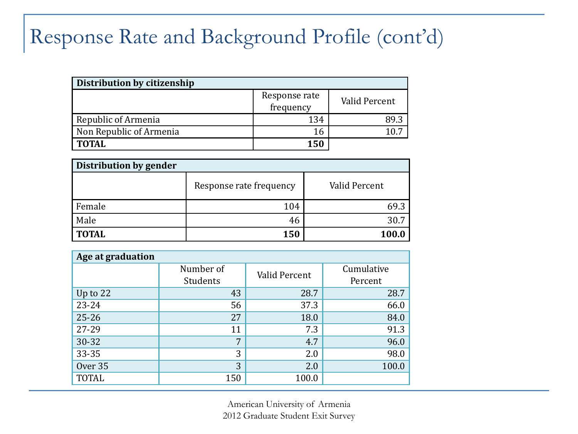### Response Rate and Background Profile (cont'd)

| Distribution by citizenship |               |               |  |  |  |  |  |
|-----------------------------|---------------|---------------|--|--|--|--|--|
|                             | Response rate | Valid Percent |  |  |  |  |  |
|                             | frequency     |               |  |  |  |  |  |
| Republic of Armenia         | 134           | -8d s         |  |  |  |  |  |
| Non Republic of Armenia     |               |               |  |  |  |  |  |
| <b>TOTAL</b>                | 150           |               |  |  |  |  |  |

| Distribution by gender |                         |               |  |  |  |  |  |
|------------------------|-------------------------|---------------|--|--|--|--|--|
|                        | Response rate frequency | Valid Percent |  |  |  |  |  |
| Female                 | 104                     | 69.3          |  |  |  |  |  |
| Male                   | 46                      | 30.7          |  |  |  |  |  |
| <b>TOTAL</b>           | 150                     | <b>100.0</b>  |  |  |  |  |  |

| Age at graduation |           |               |            |
|-------------------|-----------|---------------|------------|
|                   | Number of | Valid Percent | Cumulative |
|                   | Students  |               | Percent    |
| Up to $22$        | 43        | 28.7          | 28.7       |
| 23-24             | 56        | 37.3          | 66.0       |
| $25 - 26$         | 27        | 18.0          | 84.0       |
| 27-29             | 11        | 7.3           | 91.3       |
| $30 - 32$         | 7         | 4.7           | 96.0       |
| 33-35             | 3         | 2.0           | 98.0       |
| Over 35           | 3         | 2.0           | 100.0      |
| <b>TOTAL</b>      | 150       | 100.0         |            |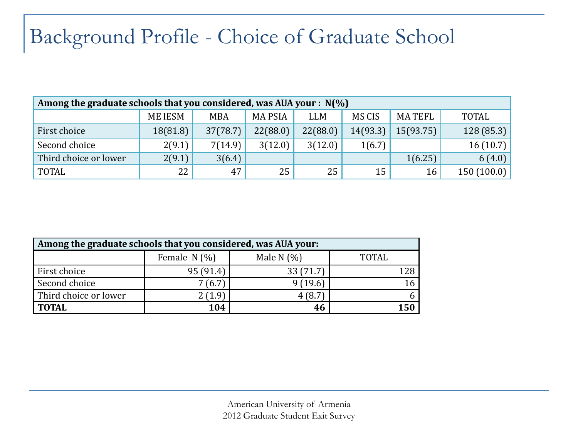# Background Profile - Choice of Graduate School

| Among the graduate schools that you considered, was AUA your : $N(\%)$ |                |            |                |            |          |               |              |  |  |  |
|------------------------------------------------------------------------|----------------|------------|----------------|------------|----------|---------------|--------------|--|--|--|
|                                                                        | <b>ME IESM</b> | <b>MBA</b> | <b>MA PSIA</b> | <b>LLM</b> | MS CIS   | <b>MATEFL</b> | <b>TOTAL</b> |  |  |  |
| First choice                                                           | 18(81.8)       | 37(78.7)   | 22(88.0)       | 22(88.0)   | 14(93.3) | 15(93.75)     | 128(85.3)    |  |  |  |
| Second choice                                                          | 2(9.1)         | 7(14.9)    | 3(12.0)        | 3(12.0)    | 1(6.7)   |               | 16(10.7)     |  |  |  |
| Third choice or lower                                                  | 2(9.1)         | 3(6.4)     |                |            |          | 1(6.25)       | 6(4.0)       |  |  |  |
| <b>TOTAL</b>                                                           | 22             | 47         | 25             | 25         | 15       | 16            | 150(100.0)   |  |  |  |

| Among the graduate schools that you considered, was AUA your: |                |              |       |  |  |  |  |  |
|---------------------------------------------------------------|----------------|--------------|-------|--|--|--|--|--|
|                                                               | Female $N(\%)$ | Male N $(%)$ | TOTAL |  |  |  |  |  |
| First choice                                                  | 95 (91.4)      | 33(71.7)     | 128   |  |  |  |  |  |
| Second choice                                                 | 7(6.7)         | 9(19.6)      |       |  |  |  |  |  |
| Third choice or lower                                         | 2 (1.9)        | 4(8.7)       |       |  |  |  |  |  |
| <b>TOTAL</b>                                                  | 104            | 46           | 150   |  |  |  |  |  |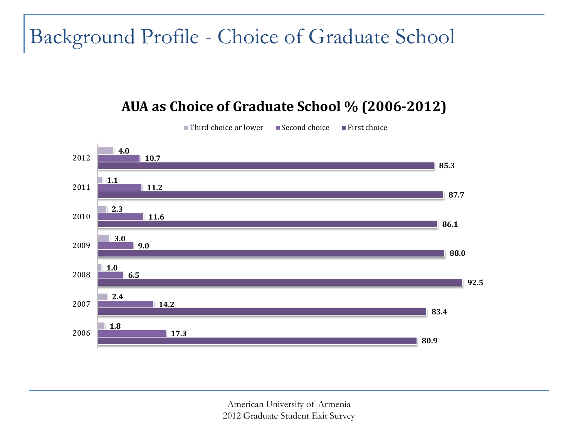### Background Profile - Choice of Graduate School

#### **AUA as Choice of Graduate School % (2006-2012)**

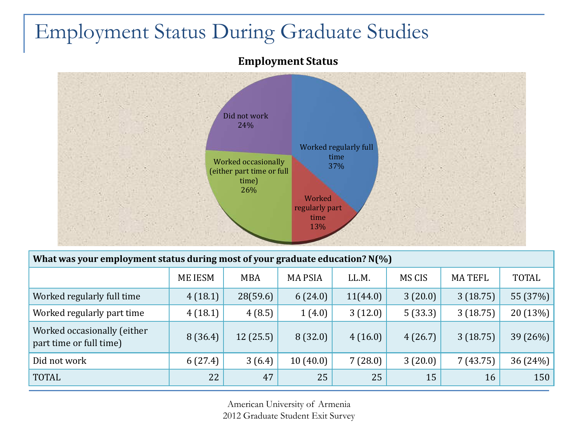### Employment Status During Graduate Studies

#### **Employment Status**



| What was your employment status during most of your graduate education? $N(\%)$ |                |            |               |          |         |               |              |  |  |  |
|---------------------------------------------------------------------------------|----------------|------------|---------------|----------|---------|---------------|--------------|--|--|--|
|                                                                                 | <b>ME IESM</b> | <b>MBA</b> | <b>MAPSIA</b> | LL.M.    | MS CIS  | <b>MATEFL</b> | <b>TOTAL</b> |  |  |  |
| Worked regularly full time                                                      | 4(18.1)        | 28(59.6)   | 6(24.0)       | 11(44.0) | 3(20.0) | 3(18.75)      | 55 (37%)     |  |  |  |
| Worked regularly part time                                                      | 4(18.1)        | 4(8.5)     | 1(4.0)        | 3(12.0)  | 5(33.3) | 3(18.75)      | 20 (13%)     |  |  |  |
| Worked occasionally (either<br>part time or full time)                          | 8(36.4)        | 12(25.5)   | 8(32.0)       | 4(16.0)  | 4(26.7) | 3(18.75)      | 39 (26%)     |  |  |  |
| Did not work                                                                    | 6(27.4)        | 3(6.4)     | 10(40.0)      | 7(28.0)  | 3(20.0) | 7(43.75)      | 36 (24%)     |  |  |  |
| <b>TOTAL</b>                                                                    | 22             | 47         | 25            | 25       | 15      | 16            | 150          |  |  |  |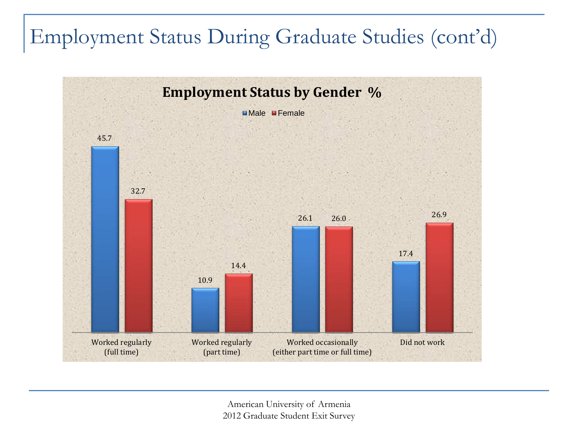# Employment Status During Graduate Studies (cont'd)

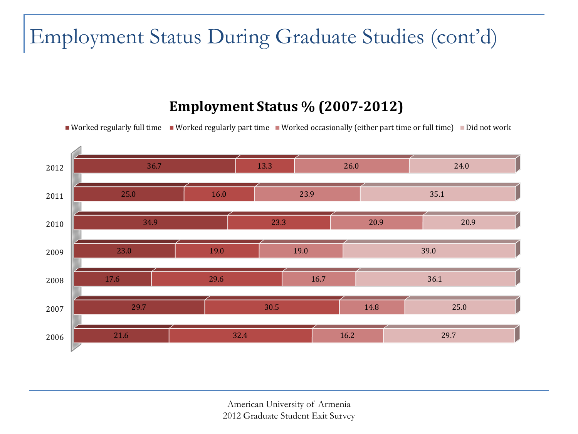# Employment Status During Graduate Studies (cont'd)

#### **Employment Status % (2007-2012)**

Worked regularly full time Worked regularly part time Worked occasionally (either part time or full time) Did not work

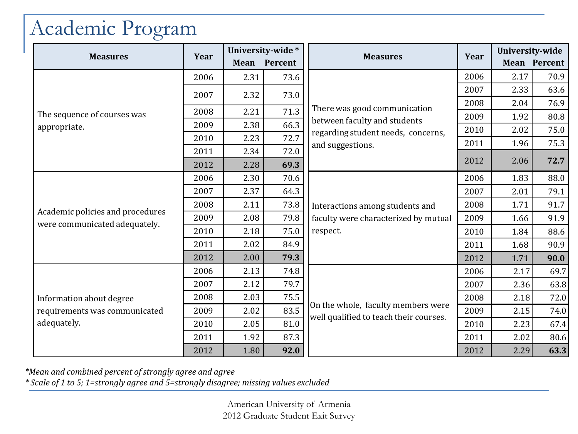# Academic Program

|                                  |      |      | University-wide* |                                                                              | Year | University-wide |              |
|----------------------------------|------|------|------------------|------------------------------------------------------------------------------|------|-----------------|--------------|
| <b>Measures</b>                  | Year |      | Mean Percent     | <b>Measures</b>                                                              |      |                 | Mean Percent |
|                                  | 2006 | 2.31 | 73.6             |                                                                              | 2006 | 2.17            | 70.9         |
|                                  | 2007 | 2.32 | 73.0             |                                                                              | 2007 | 2.33            | 63.6         |
|                                  |      |      |                  | There was good communication                                                 | 2008 | 2.04            | 76.9         |
| The sequence of courses was      | 2008 | 2.21 | 71.3             | between faculty and students                                                 | 2009 | 1.92            | 80.8         |
| appropriate.                     | 2009 | 2.38 | 66.3             | regarding student needs, concerns,                                           | 2010 | 2.02            | 75.0         |
|                                  | 2010 | 2.23 | 72.7             | and suggestions.                                                             | 2011 | 1.96            | 75.3         |
|                                  | 2011 | 2.34 | 72.0             |                                                                              | 2012 |                 |              |
|                                  | 2012 | 2.28 | 69.3             |                                                                              |      | 2.06            | 72.7         |
|                                  | 2006 | 2.30 | 70.6             |                                                                              | 2006 | 1.83            | 88.0         |
|                                  | 2007 | 2.37 | 64.3             | Interactions among students and                                              | 2007 | 2.01            | 79.1         |
|                                  | 2008 | 2.11 | 73.8             |                                                                              | 2008 | 1.71            | 91.7         |
| Academic policies and procedures | 2009 | 2.08 | 79.8             | faculty were characterized by mutual                                         | 2009 | 1.66            | 91.9         |
| were communicated adequately.    | 2010 | 2.18 | 75.0             | respect.                                                                     | 2010 | 1.84            | 88.6         |
|                                  | 2011 | 2.02 | 84.9             |                                                                              | 2011 | 1.68            | 90.9         |
|                                  | 2012 | 2.00 | 79.3             |                                                                              | 2012 | 1.71            | 90.0         |
|                                  | 2006 | 2.13 | 74.8             |                                                                              | 2006 | 2.17            | 69.7         |
|                                  | 2007 | 2.12 | 79.7             |                                                                              | 2007 | 2.36            | 63.8         |
| Information about degree         | 2008 | 2.03 | 75.5             |                                                                              | 2008 | 2.18            | 72.0         |
| requirements was communicated    | 2009 | 2.02 | 83.5             | On the whole, faculty members were<br>well qualified to teach their courses. | 2009 | 2.15            | 74.0         |
| adequately.                      | 2010 | 2.05 | 81.0             |                                                                              | 2010 | 2.23            | 67.4         |
|                                  | 2011 | 1.92 | 87.3             |                                                                              | 2011 | 2.02            | 80.6         |
|                                  | 2012 | 1.80 | 92.0             |                                                                              | 2012 | 2.29            | 63.3         |

*\*Mean and combined percent of strongly agree and agree* 

*\* Scale of 1 to 5; 1=strongly agree and 5=strongly disagree; missing values excluded*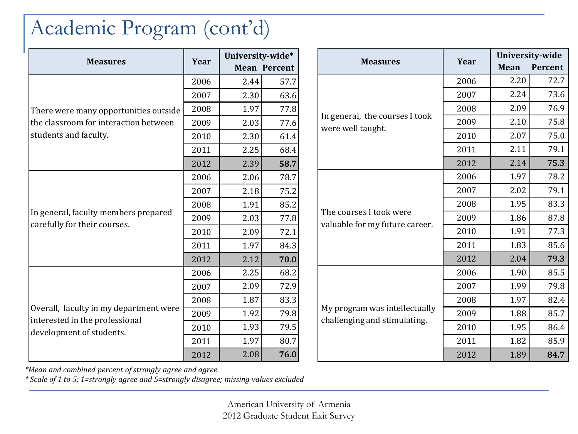### Academic Program (cont'd)

|                                                                          |      | University-wide* |                     |
|--------------------------------------------------------------------------|------|------------------|---------------------|
| <b>Measures</b>                                                          | Year |                  | <b>Mean Percent</b> |
|                                                                          | 2006 | 2.44             | 57.7                |
|                                                                          | 2007 | 2.30             | 63.6                |
| There were many opportunities outside                                    | 2008 | 1.97             | 77.8                |
| the classroom for interaction between                                    | 2009 | 2.03             | 77.6                |
| students and faculty.                                                    | 2010 | 2.30             | 61.4                |
|                                                                          | 2011 | 2.25             | 68.4                |
|                                                                          | 2012 | 2.39             | 58.7                |
|                                                                          | 2006 | 2.06             | 78.7                |
|                                                                          | 2007 | 2.18             | 75.2                |
|                                                                          | 2008 | 1.91             | 85.2                |
| In general, faculty members prepared<br>carefully for their courses.     | 2009 | 2.03             | 77.8                |
|                                                                          | 2010 | 2.09             | 72.1                |
|                                                                          | 2011 | 1.97             | 84.3                |
|                                                                          | 2012 | 2.12             | 70.0                |
|                                                                          | 2006 | 2.25             | 68.2                |
|                                                                          | 2007 | 2.09             | 72.9                |
|                                                                          | 2008 | 1.87             | 83.3                |
| Overall, faculty in my department were<br>interested in the professional | 2009 | 1.92             | 79.8                |
| development of students.                                                 | 2010 | 1.93             | 79.5                |
|                                                                          | 2011 | 1.97             | 80.7                |
|                                                                          | 2012 | 2.08             | 76.0                |

|                                                                                                                  |      |      | University-wide |
|------------------------------------------------------------------------------------------------------------------|------|------|-----------------|
| <b>Measures</b>                                                                                                  | Year | Mean | Percent         |
|                                                                                                                  | 2006 | 2.20 | 72.7            |
| In general, the courses I took<br>were well taught.<br>The courses I took were<br>valuable for my future career. | 2007 | 2.24 | 73.6            |
|                                                                                                                  | 2008 | 2.09 | 76.9            |
|                                                                                                                  | 2009 | 2.10 | 75.8            |
|                                                                                                                  | 2010 | 2.07 | 75.0            |
|                                                                                                                  | 2011 | 2.11 | 79.1            |
|                                                                                                                  | 2012 | 2.14 | 75.3            |
|                                                                                                                  | 2006 | 1.97 | 78.2            |
|                                                                                                                  | 2007 | 2.02 | 79.1            |
|                                                                                                                  | 2008 | 1.95 | 83.3            |
|                                                                                                                  | 2009 | 1.86 | 87.8            |
|                                                                                                                  | 2010 | 1.91 | 77.3            |
|                                                                                                                  | 2011 | 1.83 | 85.6            |
|                                                                                                                  | 2012 | 2.04 | 79.3            |
|                                                                                                                  | 2006 | 1.90 | 85.5            |
|                                                                                                                  | 2007 | 1.99 | 79.8            |
|                                                                                                                  | 2008 | 1.97 | 82.4            |
| My program was intellectually<br>challenging and stimulating.                                                    | 2009 | 1.88 | 85.7            |
|                                                                                                                  | 2010 | 1.95 | 86.4            |
|                                                                                                                  | 2011 | 1.82 | 85.9            |
|                                                                                                                  | 2012 | 1.89 | 84.7            |

*\*Mean and combined percent of strongly agree and agree* 

*\* Scale of 1 to 5; 1=strongly agree and 5=strongly disagree; missing values excluded*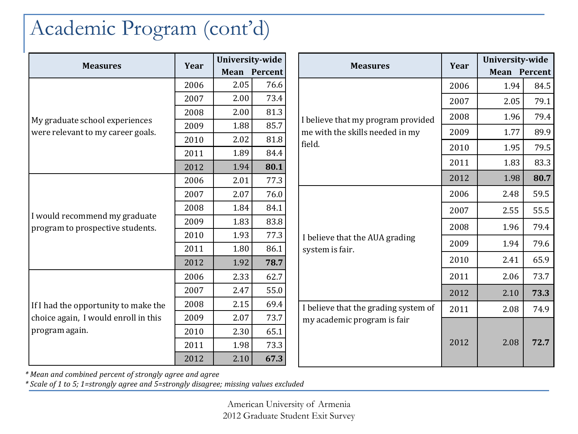### Academic Program (cont'd)

| <b>Measures</b>                                                     | Year |      | University-wide     |  |                                                                       | Year | University-wide     |      |
|---------------------------------------------------------------------|------|------|---------------------|--|-----------------------------------------------------------------------|------|---------------------|------|
|                                                                     |      |      | <b>Mean Percent</b> |  | <b>Measures</b>                                                       |      | <b>Mean Percent</b> |      |
| My graduate school experiences<br>were relevant to my career goals. | 2006 | 2.05 | 76.6                |  |                                                                       | 2006 | 1.94                | 84.5 |
|                                                                     | 2007 | 2.00 | 73.4                |  |                                                                       | 2007 | 2.05                | 79.1 |
|                                                                     | 2008 | 2.00 | 81.3                |  |                                                                       | 2008 | 1.96                | 79.4 |
|                                                                     | 2009 | 1.88 | 85.7                |  | I believe that my program provided<br>me with the skills needed in my | 2009 | 1.77                | 89.9 |
|                                                                     | 2010 | 2.02 | 81.8                |  | field.                                                                | 2010 | 1.95                | 79.5 |
|                                                                     | 2011 | 1.89 | 84.4                |  |                                                                       |      |                     |      |
|                                                                     | 2012 | 1.94 | 80.1                |  |                                                                       | 2011 | 1.83                | 83.3 |
|                                                                     | 2006 | 2.01 | 77.3                |  |                                                                       | 2012 | 1.98                | 80.7 |
|                                                                     | 2007 | 2.07 | 76.0                |  |                                                                       | 2006 | 2.48                | 59.5 |
|                                                                     | 2008 | 1.84 | 84.1                |  | I believe that the AUA grading<br>system is fair.                     | 2007 | 2.55                | 55.5 |
| I would recommend my graduate<br>program to prospective students.   | 2009 | 1.83 | 83.8                |  |                                                                       | 2008 | 1.96                | 79.4 |
|                                                                     | 2010 | 1.93 | 77.3                |  |                                                                       |      |                     |      |
|                                                                     | 2011 | 1.80 | 86.1                |  |                                                                       | 2009 | 1.94                | 79.6 |
|                                                                     | 2012 | 1.92 | 78.7                |  |                                                                       | 2010 | 2.41                | 65.9 |
|                                                                     | 2006 | 2.33 | 62.7                |  |                                                                       | 2011 | 2.06                | 73.7 |
|                                                                     | 2007 | 2.47 | 55.0                |  |                                                                       | 2012 | 2.10                | 73.3 |
| If I had the opportunity to make the                                | 2008 | 2.15 | 69.4                |  | I believe that the grading system of                                  | 2011 | 2.08                | 74.9 |
| choice again, I would enroll in this<br>program again.              | 2009 | 2.07 | 73.7                |  | my academic program is fair                                           |      |                     |      |
|                                                                     | 2010 | 2.30 | 65.1                |  |                                                                       |      |                     |      |
|                                                                     | 2011 | 1.98 | 73.3                |  |                                                                       | 2012 | 2.08                | 72.7 |
|                                                                     | 2012 | 2.10 | 67.3                |  |                                                                       |      |                     |      |

*\* Mean and combined percent of strongly agree and agree* 

*\* Scale of 1 to 5; 1=strongly agree and 5=strongly disagree; missing values excluded*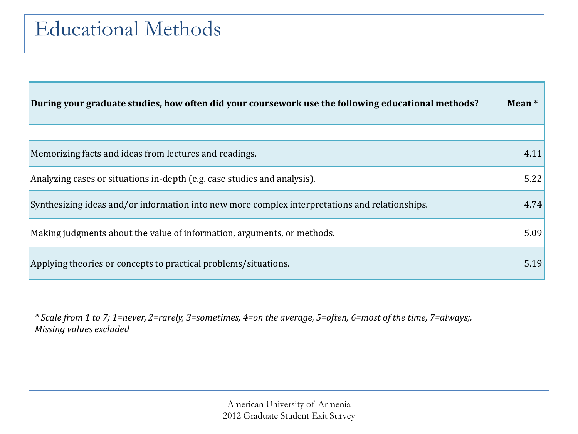### Educational Methods

| During your graduate studies, how often did your coursework use the following educational methods? | Mean $*$ |
|----------------------------------------------------------------------------------------------------|----------|
|                                                                                                    |          |
| Memorizing facts and ideas from lectures and readings.                                             | 4.11     |
| Analyzing cases or situations in-depth (e.g. case studies and analysis).                           | 5.22     |
| Synthesizing ideas and/or information into new more complex interpretations and relationships.     | 4.74     |
| Making judgments about the value of information, arguments, or methods.                            | 5.09     |
| Applying theories or concepts to practical problems/situations.                                    | 5.19     |

*\* Scale from 1 to 7; 1=never, 2=rarely, 3=sometimes, 4=on the average, 5=often, 6=most of the time, 7=always;. Missing values excluded*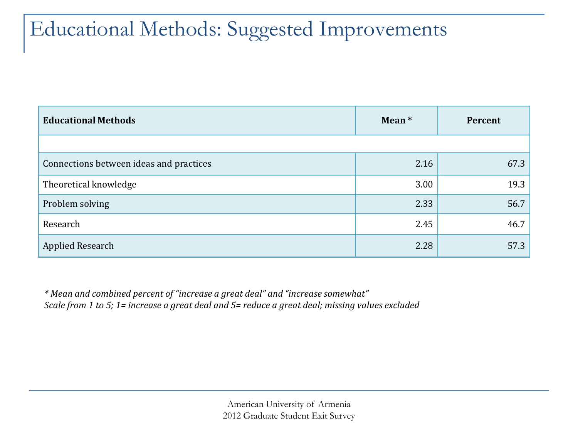### Educational Methods: Suggested Improvements

| <b>Educational Methods</b>              | Mean * | Percent |
|-----------------------------------------|--------|---------|
|                                         |        |         |
| Connections between ideas and practices | 2.16   | 67.3    |
| Theoretical knowledge                   | 3.00   | 19.3    |
| Problem solving                         | 2.33   | 56.7    |
| Research                                | 2.45   | 46.7    |
| Applied Research                        | 2.28   | 57.3    |

*\* Mean and combined percent of "increase a great deal" and "increase somewhat" Scale from 1 to 5; 1= increase a great deal and 5= reduce a great deal; missing values excluded*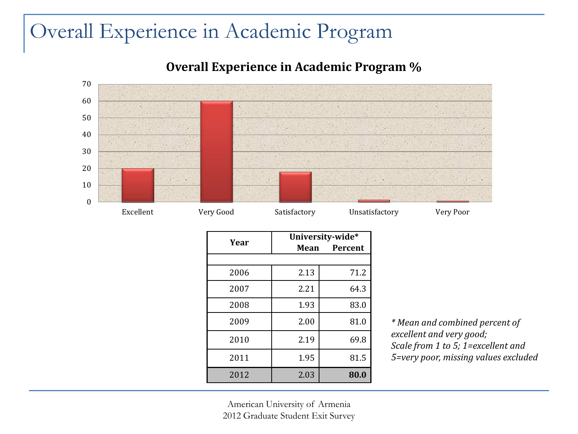### Overall Experience in Academic Program

#### **Overall Experience in Academic Program %**



| Year | University-wide* |                |  |
|------|------------------|----------------|--|
|      | Mean             | <b>Percent</b> |  |
|      |                  |                |  |
| 2006 | 2.13             | 71.2           |  |
| 2007 | 2.21             | 64.3           |  |
| 2008 | 1.93             | 83.0           |  |
| 2009 | 2.00             | 81.0           |  |
| 2010 | 2.19             | 69.8           |  |
| 2011 | 1.95             | 81.5           |  |
| 2012 | 2.03             | 80.0           |  |

*\* Mean and combined percent of excellent and very good; Scale from 1 to 5; 1=excellent and 5=very poor, missing values excluded*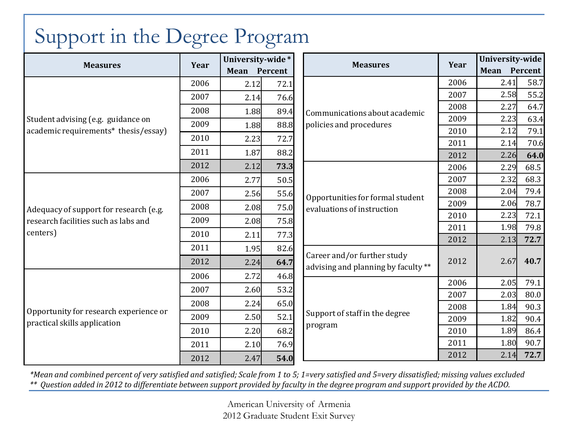|                                                                                            |      |              | University-wide* |                                                                    |      | University-wide |      |
|--------------------------------------------------------------------------------------------|------|--------------|------------------|--------------------------------------------------------------------|------|-----------------|------|
| <b>Measures</b>                                                                            | Year | Mean Percent |                  | <b>Measures</b>                                                    | Year | Mean Percent    |      |
|                                                                                            | 2006 | 2.12         | 72.1             |                                                                    | 2006 | 2.41            | 58.7 |
|                                                                                            | 2007 | 2.14         | 76.6             |                                                                    | 2007 | 2.58            | 55.2 |
|                                                                                            | 2008 | 1.88         | 89.4             | Communications about academic                                      | 2008 | 2.27            | 64.7 |
| Student advising (e.g. guidance on                                                         | 2009 | 1.88         | 88.8             | policies and procedures                                            | 2009 | 2.23            | 63.4 |
| academic requirements* thesis/essay)                                                       | 2010 | 2.23         | 72.7             |                                                                    | 2010 | 2.12            | 79.1 |
|                                                                                            |      |              |                  |                                                                    | 2011 | 2.14            | 70.6 |
|                                                                                            | 2011 | 1.87         | 88.2             |                                                                    | 2012 | 2.26            | 64.0 |
|                                                                                            | 2012 | 2.12         | 73.3             |                                                                    | 2006 | 2.29            | 68.5 |
| Adequacy of support for research (e.g.<br>research facilities such as labs and<br>centers) | 2006 | 2.77         | 50.5             | Opportunities for formal student<br>evaluations of instruction     | 2007 | 2.32            | 68.3 |
|                                                                                            | 2007 | 2.56         | 55.6             |                                                                    | 2008 | 2.04            | 79.4 |
|                                                                                            | 2008 | 2.08         | 75.0             |                                                                    | 2009 | 2.06            | 78.7 |
|                                                                                            | 2009 | 2.08         | 75.8             |                                                                    | 2010 | 2.23            | 72.1 |
|                                                                                            | 2010 | 2.11         | 77.3             |                                                                    | 2011 | 1.98            | 79.8 |
|                                                                                            | 2011 | 1.95         | 82.6             |                                                                    | 2012 | 2.13            | 72.7 |
|                                                                                            | 2012 |              |                  | Career and/or further study<br>advising and planning by faculty ** | 2012 | 2.67            | 40.7 |
|                                                                                            |      | 2.24         | 64.7             |                                                                    |      |                 |      |
|                                                                                            | 2006 | 2.72         | 46.8             |                                                                    | 2006 | 2.05            | 79.1 |
|                                                                                            | 2007 | 2.60         | 53.2             |                                                                    | 2007 | 2.03            | 80.0 |
| Opportunity for research experience or<br>practical skills application                     | 2008 | 2.24         | 65.0             | Support of staff in the degree                                     | 2008 | 1.84            | 90.3 |
|                                                                                            | 2009 | 2.50         | 52.1             |                                                                    | 2009 | 1.82            | 90.4 |
|                                                                                            | 2010 | 2.20         | 68.2             | program                                                            | 2010 | 1.89            | 86.4 |
|                                                                                            | 2011 | 2.10         | 76.9             |                                                                    | 2011 | 1.80            | 90.7 |
|                                                                                            | 2012 | 2.47         | 54.0             |                                                                    | 2012 | 2.14            | 72.7 |

# Support in the Degree Program

*\*Mean and combined percent of very satisfied and satisfied; Scale from 1 to 5; 1=very satisfied and 5=very dissatisfied; missing values excluded \*\* Question added in 2012 to differentiate between support provided by faculty in the degree program and support provided by the ACDO.*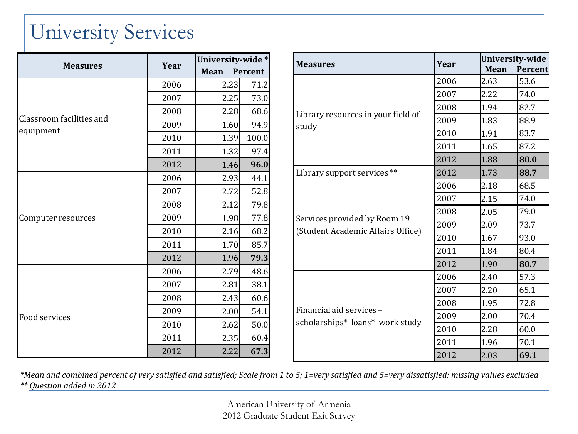# University Services

| <b>Measures</b>          | Year | University-wide* |         |
|--------------------------|------|------------------|---------|
|                          |      | Mean             | Percent |
|                          | 2006 | 2.23             | 71.2    |
|                          | 2007 | 2.25             | 73.0    |
|                          | 2008 | 2.28             | 68.6    |
| Classroom facilities and | 2009 | 1.60             | 94.9    |
| equipment                | 2010 | 1.39             | 100.0   |
|                          | 2011 | 1.32             | 97.4    |
|                          | 2012 | 1.46             | 96.0    |
|                          | 2006 | 2.93             | 44.1    |
|                          | 2007 | 2.72             | 52.8    |
|                          | 2008 | 2.12             | 79.8    |
| Computer resources       | 2009 | 1.98             | 77.8    |
|                          | 2010 | 2.16             | 68.2    |
|                          | 2011 | 1.70             | 85.7    |
|                          | 2012 | 1.96             | 79.3    |
|                          | 2006 | 2.79             | 48.6    |
|                          | 2007 | 2.81             | 38.1    |
|                          | 2008 | 2.43             | 60.6    |
|                          | 2009 | 2.00             | 54.1    |
| Food services            | 2010 | 2.62             | 50.0    |
|                          | 2011 | 2.35             | 60.4    |
|                          | 2012 | 2.22             | 67.3    |

| <b>Measures</b>                                                   | Year | University-wide |         |  |
|-------------------------------------------------------------------|------|-----------------|---------|--|
|                                                                   |      | <b>Mean</b>     | Percent |  |
|                                                                   | 2006 | 2.63            | 53.6    |  |
|                                                                   | 2007 | 2.22            | 74.0    |  |
|                                                                   | 2008 | 1.94            | 82.7    |  |
| Library resources in your field of<br>study                       | 2009 | 1.83            | 88.9    |  |
|                                                                   | 2010 | 1.91            | 83.7    |  |
|                                                                   | 2011 | 1.65            | 87.2    |  |
|                                                                   | 2012 | 1.88            | 80.0    |  |
| Library support services **                                       | 2012 | 1.73            | 88.7    |  |
|                                                                   | 2006 | 2.18            | 68.5    |  |
|                                                                   | 2007 | 2.15            | 74.0    |  |
|                                                                   | 2008 | 2.05            | 79.0    |  |
| Services provided by Room 19<br>(Student Academic Affairs Office) | 2009 | 2.09            | 73.7    |  |
|                                                                   | 2010 | 1.67            | 93.0    |  |
|                                                                   | 2011 | 1.84            | 80.4    |  |
|                                                                   | 2012 | 1.90            | 80.7    |  |
|                                                                   | 2006 | 2.40            | 57.3    |  |
|                                                                   | 2007 | 2.20            | 65.1    |  |
|                                                                   | 2008 | 1.95            | 72.8    |  |
| Financial aid services -<br>scholarships* loans* work study       | 2009 | 2.00            | 70.4    |  |
|                                                                   | 2010 | 2.28            | 60.0    |  |
|                                                                   | 2011 | 1.96            | 70.1    |  |
|                                                                   | 2012 | 2.03            | 69.1    |  |

*\*Mean and combined percent of very satisfied and satisfied; Scale from 1 to 5; 1=very satisfied and 5=very dissatisfied; missing values excluded*

*\*\* Question added in 2012*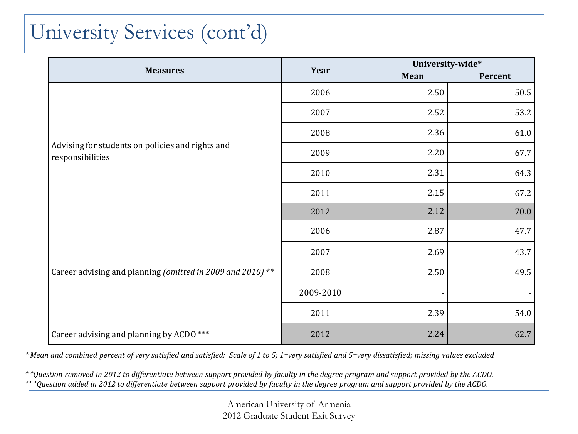# University Services (cont'd)

|                                                                      |           |      | University-wide* |
|----------------------------------------------------------------------|-----------|------|------------------|
| <b>Measures</b>                                                      | Year      | Mean | Percent          |
|                                                                      | 2006      | 2.50 | 50.5             |
|                                                                      | 2007      | 2.52 | 53.2             |
|                                                                      | 2008      | 2.36 | 61.0             |
| Advising for students on policies and rights and<br>responsibilities | 2009      | 2.20 | 67.7             |
|                                                                      | 2010      | 2.31 | 64.3             |
|                                                                      | 2011      | 2.15 | 67.2             |
|                                                                      | 2012      | 2.12 | 70.0             |
|                                                                      | 2006      | 2.87 | 47.7             |
| Career advising and planning (omitted in 2009 and 2010) **           | 2007      | 2.69 | 43.7             |
|                                                                      | 2008      | 2.50 | 49.5             |
|                                                                      | 2009-2010 |      |                  |
|                                                                      | 2011      | 2.39 | 54.0             |
| Career advising and planning by ACDO ***                             | 2012      | 2.24 | 62.7             |

*\* Mean and combined percent of very satisfied and satisfied; Scale of 1 to 5; 1=very satisfied and 5=very dissatisfied; missing values excluded*

*\* \*Question removed in 2012 to differentiate between support provided by faculty in the degree program and support provided by the ACDO. \*\* \*Question added in 2012 to differentiate between support provided by faculty in the degree program and support provided by the ACDO.*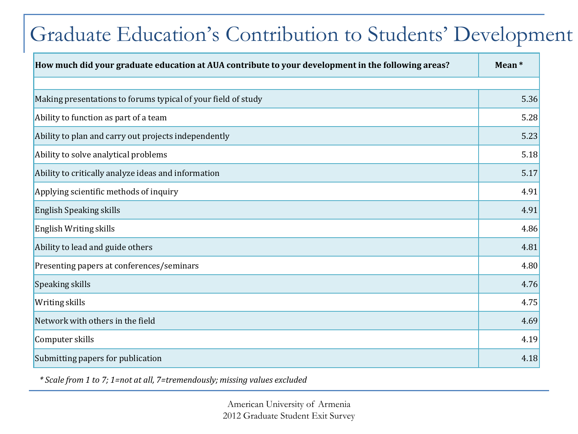# Graduate Education's Contribution to Students' Development

| How much did your graduate education at AUA contribute to your development in the following areas? | Mean* |
|----------------------------------------------------------------------------------------------------|-------|
|                                                                                                    |       |
| Making presentations to forums typical of your field of study                                      | 5.36  |
| Ability to function as part of a team                                                              | 5.28  |
| Ability to plan and carry out projects independently                                               | 5.23  |
| Ability to solve analytical problems                                                               | 5.18  |
| Ability to critically analyze ideas and information                                                | 5.17  |
| Applying scientific methods of inquiry                                                             | 4.91  |
| English Speaking skills                                                                            | 4.91  |
| English Writing skills                                                                             | 4.86  |
| Ability to lead and guide others                                                                   | 4.81  |
| Presenting papers at conferences/seminars                                                          | 4.80  |
| Speaking skills                                                                                    | 4.76  |
| <b>Writing skills</b>                                                                              | 4.75  |
| Network with others in the field                                                                   | 4.69  |
| Computer skills                                                                                    | 4.19  |
| Submitting papers for publication                                                                  | 4.18  |

*\* Scale from 1 to 7; 1=not at all, 7=tremendously; missing values excluded*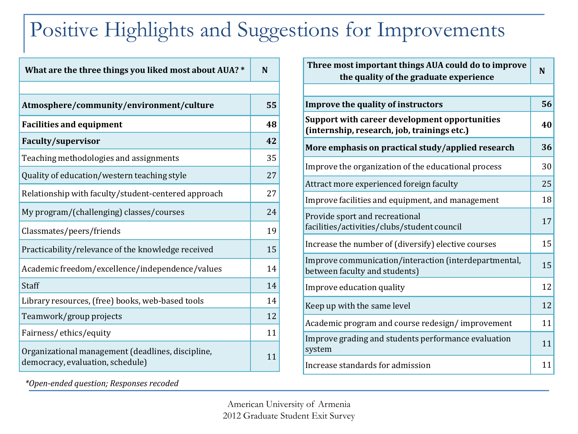# Positive Highlights and Suggestions for Improvements

| What are the three things you liked most about AUA? *                                 |    |  |
|---------------------------------------------------------------------------------------|----|--|
|                                                                                       |    |  |
| Atmosphere/community/environment/culture                                              | 55 |  |
| <b>Facilities and equipment</b>                                                       | 48 |  |
| <b>Faculty/supervisor</b>                                                             | 42 |  |
| Teaching methodologies and assignments                                                | 35 |  |
| Quality of education/western teaching style                                           | 27 |  |
| Relationship with faculty/student-centered approach                                   | 27 |  |
| My program/(challenging) classes/courses                                              | 24 |  |
| Classmates/peers/friends                                                              | 19 |  |
| Practicability/relevance of the knowledge received                                    | 15 |  |
| Academic freedom/excellence/independence/values                                       | 14 |  |
| Staff                                                                                 | 14 |  |
| Library resources, (free) books, web-based tools                                      | 14 |  |
| Teamwork/group projects                                                               | 12 |  |
| Fairness/ethics/equity                                                                | 11 |  |
| Organizational management (deadlines, discipline,<br>democracy, evaluation, schedule) | 11 |  |

*\*Open-ended question; Responses recoded* 

| N  |
|----|
|    |
| 56 |
| 40 |
| 36 |
| 30 |
| 25 |
| 18 |
| 17 |
| 15 |
| 15 |
| 12 |
| 12 |
| 11 |
| 11 |
| 11 |
|    |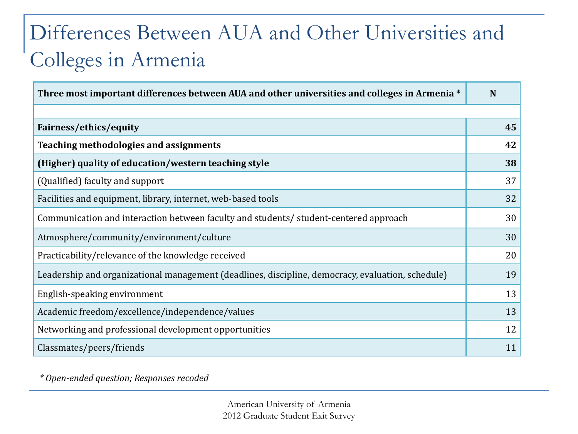# Differences Between AUA and Other Universities and Colleges in Armenia

| Three most important differences between AUA and other universities and colleges in Armenia *     |    |  |
|---------------------------------------------------------------------------------------------------|----|--|
|                                                                                                   |    |  |
| Fairness/ethics/equity                                                                            | 45 |  |
| <b>Teaching methodologies and assignments</b>                                                     | 42 |  |
| (Higher) quality of education/western teaching style                                              | 38 |  |
| (Qualified) faculty and support                                                                   | 37 |  |
| Facilities and equipment, library, internet, web-based tools                                      | 32 |  |
| Communication and interaction between faculty and students/ student-centered approach             | 30 |  |
| Atmosphere/community/environment/culture                                                          | 30 |  |
| Practicability/relevance of the knowledge received                                                | 20 |  |
| Leadership and organizational management (deadlines, discipline, democracy, evaluation, schedule) | 19 |  |
| English-speaking environment                                                                      | 13 |  |
| Academic freedom/excellence/independence/values                                                   | 13 |  |
| Networking and professional development opportunities                                             | 12 |  |
| Classmates/peers/friends                                                                          | 11 |  |

*\* Open-ended question; Responses recoded*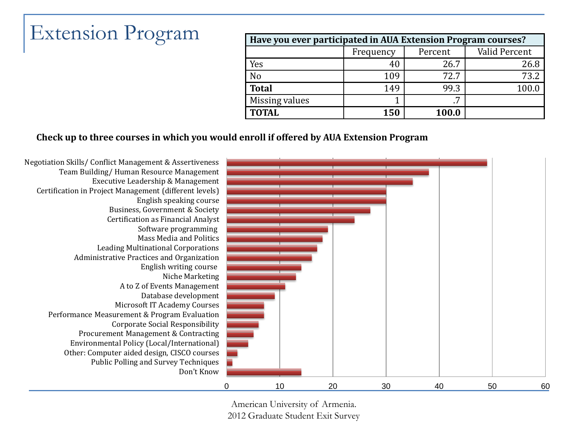# **Extension Program**

| Have you ever participated in AUA Extension Program courses? |           |         |               |  |  |
|--------------------------------------------------------------|-----------|---------|---------------|--|--|
|                                                              | Frequency | Percent | Valid Percent |  |  |
| Yes                                                          | 40        | 26.7    | 26.8          |  |  |
| N <sub>o</sub>                                               | 109       | 72.7    | 73.2          |  |  |
| <b>Total</b>                                                 | 149       | 99.3    | 100.0         |  |  |
| Missing values                                               |           | .7      |               |  |  |
| <b>TOTAL</b>                                                 | 150       | 100.0   |               |  |  |

#### **Check up to three courses in which you would enroll if offered by AUA Extension Program**

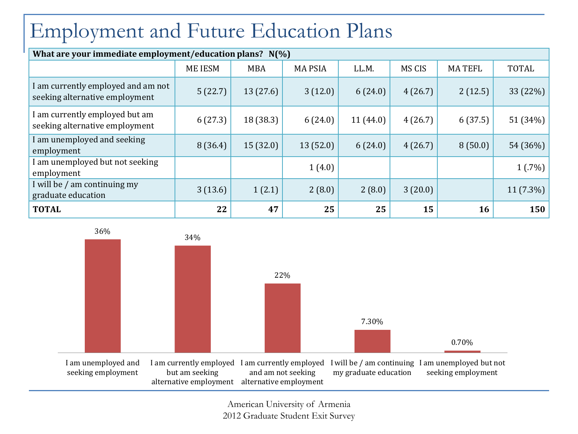# Employment and Future Education Plans

| What are your immediate employment/education plans? N(%)             |                |            |               |          |         |               |              |  |  |  |  |  |  |
|----------------------------------------------------------------------|----------------|------------|---------------|----------|---------|---------------|--------------|--|--|--|--|--|--|
|                                                                      | <b>ME IESM</b> | <b>MBA</b> | <b>MAPSIA</b> | LL.M.    | MS CIS  | <b>MATEFL</b> | <b>TOTAL</b> |  |  |  |  |  |  |
| I am currently employed and am not<br>seeking alternative employment | 5(22.7)        | 13(27.6)   | 3(12.0)       | 6(24.0)  | 4(26.7) | 2(12.5)       | 33 (22%)     |  |  |  |  |  |  |
| I am currently employed but am<br>seeking alternative employment     | 6(27.3)        | 18(38.3)   | 6(24.0)       | 11(44.0) | 4(26.7) | 6(37.5)       | 51 (34%)     |  |  |  |  |  |  |
| I am unemployed and seeking<br>employment                            | 8(36.4)        | 15(32.0)   | 13(52.0)      | 6(24.0)  | 4(26.7) | 8(50.0)       | 54 (36%)     |  |  |  |  |  |  |
| I am unemployed but not seeking<br>employment                        |                |            | 1(4.0)        |          |         |               | 1(.7%)       |  |  |  |  |  |  |
| I will be / am continuing my<br>graduate education                   | 3(13.6)        | 1(2.1)     | 2(8.0)        | 2(8.0)   | 3(20.0) |               | $11(7.3\%)$  |  |  |  |  |  |  |
| <b>TOTAL</b>                                                         | 22             | 47         | 25            | 25       | 15      | 16            | 150          |  |  |  |  |  |  |

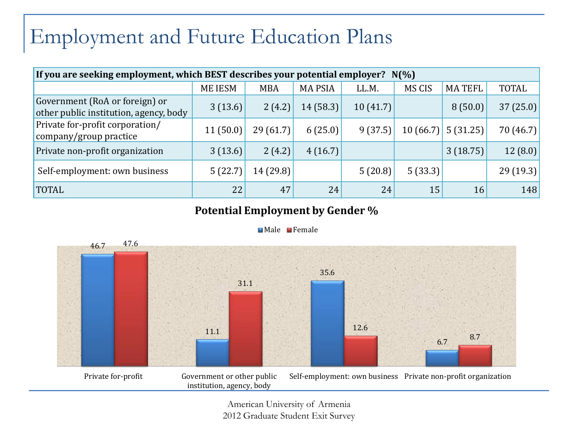### Employment and Future Education Plans

| If you are seeking employment, which BEST describes your potential employer? N(%) |               |            |                |          |          |               |              |  |  |  |  |
|-----------------------------------------------------------------------------------|---------------|------------|----------------|----------|----------|---------------|--------------|--|--|--|--|
|                                                                                   | <b>MEIESM</b> | <b>MBA</b> | <b>MA PSIA</b> | LL.M.    | MS CIS   | <b>MATEFL</b> | <b>TOTAL</b> |  |  |  |  |
| Government (RoA or foreign) or<br>other public institution, agency, body          | 3(13.6)       | 2(4.2)     | 14(58.3)       | 10(41.7) |          | 8(50.0)       | 37(25.0)     |  |  |  |  |
| Private for-profit corporation/<br>company/group practice                         | 11(50.0)      | 29(61.7)   | 6(25.0)        | 9(37.5)  | 10(66.7) | 5(31.25)      | 70 (46.7)    |  |  |  |  |
| Private non-profit organization                                                   | 3(13.6)       | 2(4.2)     | 4(16.7)        |          |          | 3(18.75)      | 12(8.0)      |  |  |  |  |
| Self-employment: own business                                                     | 5(22.7)       | 14 (29.8)  |                | 5(20.8)  | 5(33.3)  |               | 29(19.3)     |  |  |  |  |
| <b>TOTAL</b>                                                                      | 22            | 47         | 24             | 24       | 15       | 16            | 148          |  |  |  |  |

#### **Potential Employment by Gender %**



#### Male Female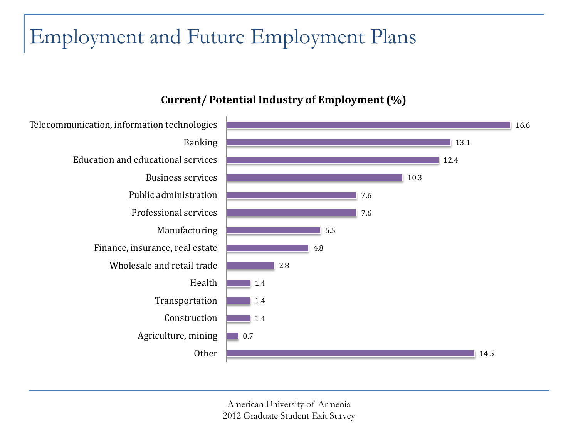# Employment and Future Employment Plans

#### **Current/ Potential Industry of Employment (%)**